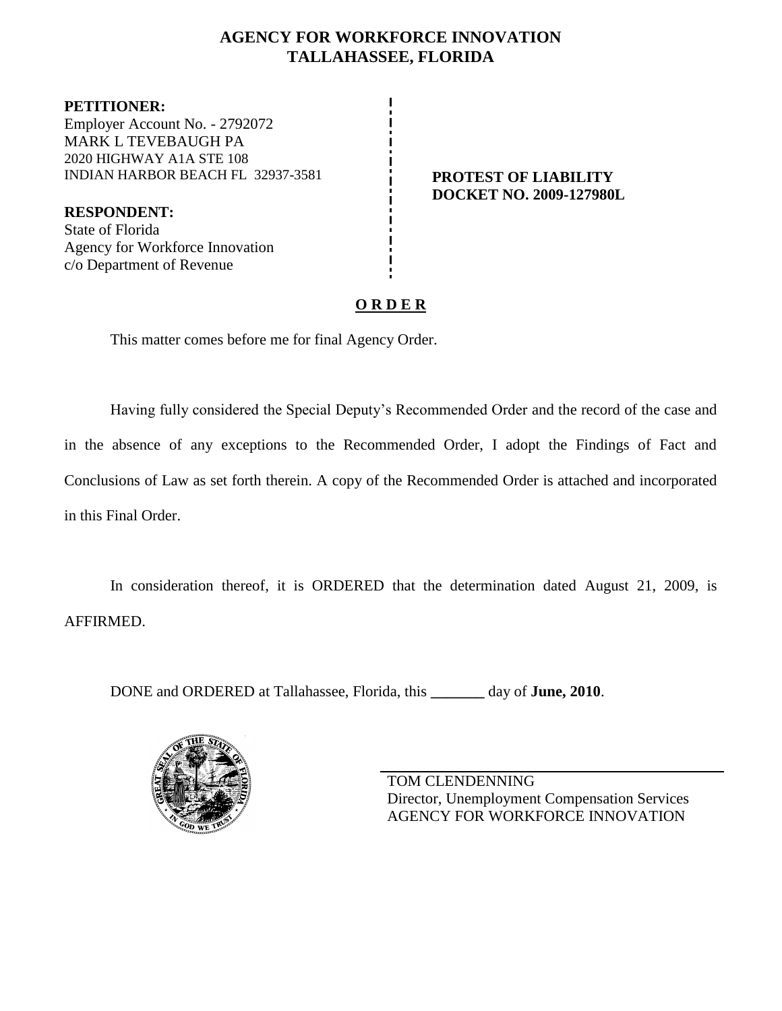## **AGENCY FOR WORKFORCE INNOVATION TALLAHASSEE, FLORIDA**

**PETITIONER:** Employer Account No. - 2792072 MARK L TEVEBAUGH PA 2020 HIGHWAY A1A STE 108 INDIAN HARBOR BEACH FL 32937-3581 **PROTEST OF LIABILITY**

**RESPONDENT:** State of Florida Agency for Workforce Innovation c/o Department of Revenue

**DOCKET NO. 2009-127980L**

# **O R D E R**

This matter comes before me for final Agency Order.

Having fully considered the Special Deputy's Recommended Order and the record of the case and in the absence of any exceptions to the Recommended Order, I adopt the Findings of Fact and Conclusions of Law as set forth therein. A copy of the Recommended Order is attached and incorporated in this Final Order.

In consideration thereof, it is ORDERED that the determination dated August 21, 2009, is AFFIRMED.

DONE and ORDERED at Tallahassee, Florida, this **\_\_\_\_\_\_\_** day of **June, 2010**.



TOM CLENDENNING Director, Unemployment Compensation Services AGENCY FOR WORKFORCE INNOVATION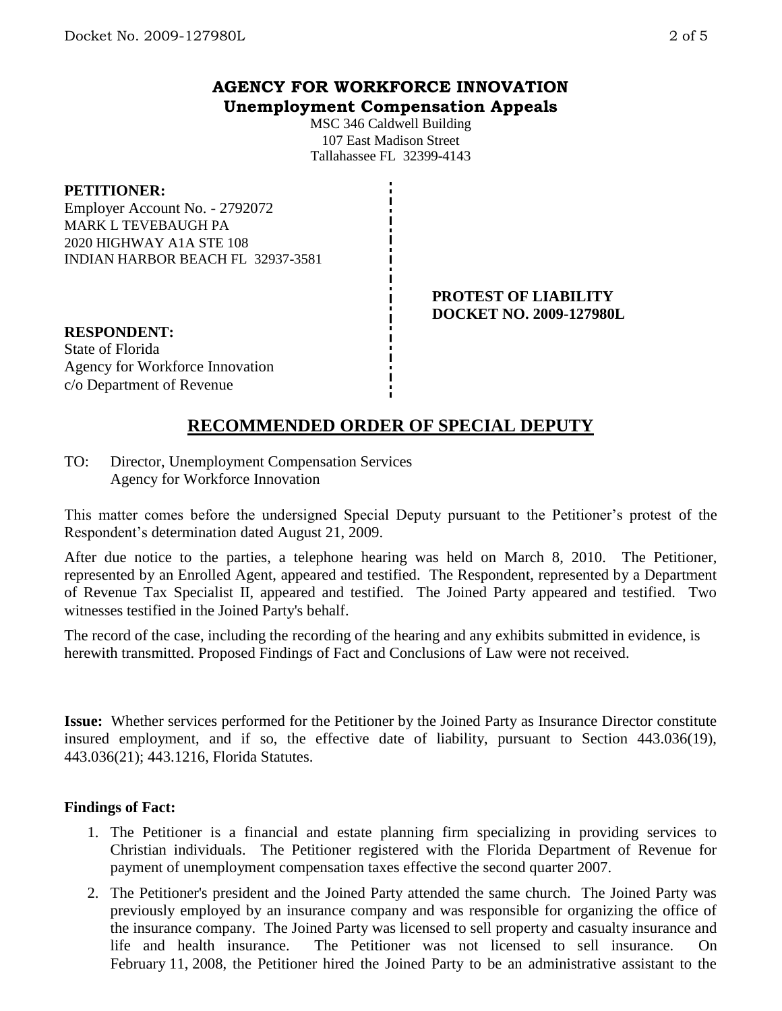## **AGENCY FOR WORKFORCE INNOVATION Unemployment Compensation Appeals**

MSC 346 Caldwell Building 107 East Madison Street Tallahassee FL 32399-4143

#### **PETITIONER:**

Employer Account No. - 2792072 MARK L TEVEBAUGH PA 2020 HIGHWAY A1A STE 108 INDIAN HARBOR BEACH FL 32937-3581

> **PROTEST OF LIABILITY DOCKET NO. 2009-127980L**

**RESPONDENT:** State of Florida Agency for Workforce Innovation c/o Department of Revenue

# **RECOMMENDED ORDER OF SPECIAL DEPUTY**

TO: Director, Unemployment Compensation Services Agency for Workforce Innovation

This matter comes before the undersigned Special Deputy pursuant to the Petitioner's protest of the Respondent's determination dated August 21, 2009.

After due notice to the parties, a telephone hearing was held on March 8, 2010. The Petitioner, represented by an Enrolled Agent, appeared and testified. The Respondent, represented by a Department of Revenue Tax Specialist II, appeared and testified. The Joined Party appeared and testified. Two witnesses testified in the Joined Party's behalf.

The record of the case, including the recording of the hearing and any exhibits submitted in evidence, is herewith transmitted. Proposed Findings of Fact and Conclusions of Law were not received.

**Issue:** Whether services performed for the Petitioner by the Joined Party as Insurance Director constitute insured employment, and if so, the effective date of liability, pursuant to Section 443.036(19), 443.036(21); 443.1216, Florida Statutes.

#### **Findings of Fact:**

- 1. The Petitioner is a financial and estate planning firm specializing in providing services to Christian individuals. The Petitioner registered with the Florida Department of Revenue for payment of unemployment compensation taxes effective the second quarter 2007.
- 2. The Petitioner's president and the Joined Party attended the same church. The Joined Party was previously employed by an insurance company and was responsible for organizing the office of the insurance company. The Joined Party was licensed to sell property and casualty insurance and life and health insurance. The Petitioner was not licensed to sell insurance. On February 11, 2008, the Petitioner hired the Joined Party to be an administrative assistant to the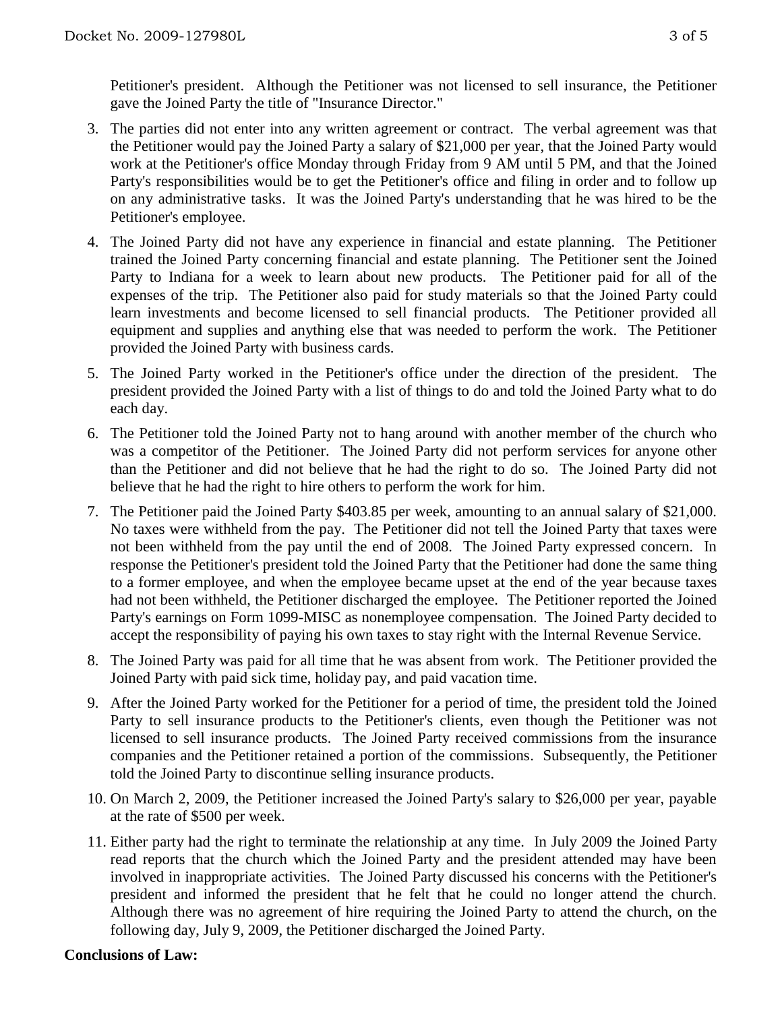Petitioner's president. Although the Petitioner was not licensed to sell insurance, the Petitioner gave the Joined Party the title of "Insurance Director."

- 3. The parties did not enter into any written agreement or contract. The verbal agreement was that the Petitioner would pay the Joined Party a salary of \$21,000 per year, that the Joined Party would work at the Petitioner's office Monday through Friday from 9 AM until 5 PM, and that the Joined Party's responsibilities would be to get the Petitioner's office and filing in order and to follow up on any administrative tasks. It was the Joined Party's understanding that he was hired to be the Petitioner's employee.
- 4. The Joined Party did not have any experience in financial and estate planning. The Petitioner trained the Joined Party concerning financial and estate planning. The Petitioner sent the Joined Party to Indiana for a week to learn about new products. The Petitioner paid for all of the expenses of the trip. The Petitioner also paid for study materials so that the Joined Party could learn investments and become licensed to sell financial products. The Petitioner provided all equipment and supplies and anything else that was needed to perform the work. The Petitioner provided the Joined Party with business cards.
- 5. The Joined Party worked in the Petitioner's office under the direction of the president. The president provided the Joined Party with a list of things to do and told the Joined Party what to do each day.
- 6. The Petitioner told the Joined Party not to hang around with another member of the church who was a competitor of the Petitioner. The Joined Party did not perform services for anyone other than the Petitioner and did not believe that he had the right to do so. The Joined Party did not believe that he had the right to hire others to perform the work for him.
- 7. The Petitioner paid the Joined Party \$403.85 per week, amounting to an annual salary of \$21,000. No taxes were withheld from the pay. The Petitioner did not tell the Joined Party that taxes were not been withheld from the pay until the end of 2008. The Joined Party expressed concern. In response the Petitioner's president told the Joined Party that the Petitioner had done the same thing to a former employee, and when the employee became upset at the end of the year because taxes had not been withheld, the Petitioner discharged the employee. The Petitioner reported the Joined Party's earnings on Form 1099-MISC as nonemployee compensation. The Joined Party decided to accept the responsibility of paying his own taxes to stay right with the Internal Revenue Service.
- 8. The Joined Party was paid for all time that he was absent from work. The Petitioner provided the Joined Party with paid sick time, holiday pay, and paid vacation time.
- 9. After the Joined Party worked for the Petitioner for a period of time, the president told the Joined Party to sell insurance products to the Petitioner's clients, even though the Petitioner was not licensed to sell insurance products. The Joined Party received commissions from the insurance companies and the Petitioner retained a portion of the commissions. Subsequently, the Petitioner told the Joined Party to discontinue selling insurance products.
- 10. On March 2, 2009, the Petitioner increased the Joined Party's salary to \$26,000 per year, payable at the rate of \$500 per week.
- 11. Either party had the right to terminate the relationship at any time. In July 2009 the Joined Party read reports that the church which the Joined Party and the president attended may have been involved in inappropriate activities. The Joined Party discussed his concerns with the Petitioner's president and informed the president that he felt that he could no longer attend the church. Although there was no agreement of hire requiring the Joined Party to attend the church, on the following day, July 9, 2009, the Petitioner discharged the Joined Party.

#### **Conclusions of Law:**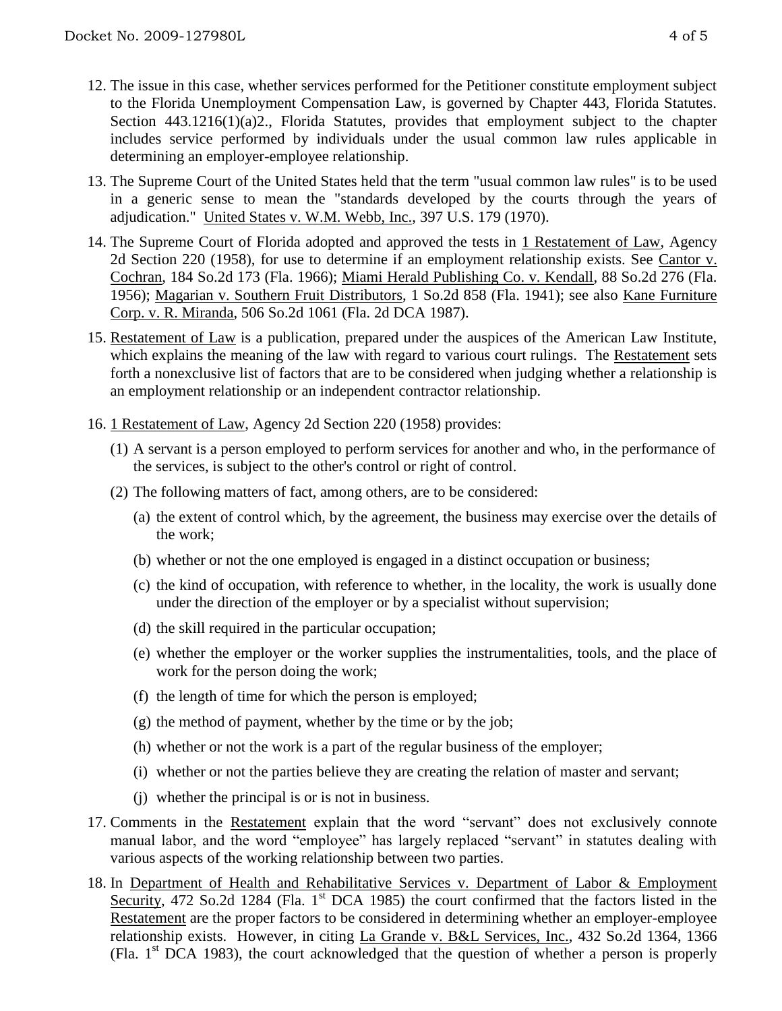- 12. The issue in this case, whether services performed for the Petitioner constitute employment subject to the Florida Unemployment Compensation Law, is governed by Chapter 443, Florida Statutes. Section 443.1216(1)(a)2., Florida Statutes, provides that employment subject to the chapter includes service performed by individuals under the usual common law rules applicable in determining an employer-employee relationship.
- 13. The Supreme Court of the United States held that the term "usual common law rules" is to be used in a generic sense to mean the "standards developed by the courts through the years of adjudication." United States v. W.M. Webb, Inc., 397 U.S. 179 (1970).
- 14. The Supreme Court of Florida adopted and approved the tests in 1 Restatement of Law, Agency 2d Section 220 (1958), for use to determine if an employment relationship exists. See Cantor v. Cochran, 184 So.2d 173 (Fla. 1966); Miami Herald Publishing Co. v. Kendall, 88 So.2d 276 (Fla. 1956); Magarian v. Southern Fruit Distributors, 1 So.2d 858 (Fla. 1941); see also Kane Furniture Corp. v. R. Miranda, 506 So.2d 1061 (Fla. 2d DCA 1987).
- 15. Restatement of Law is a publication, prepared under the auspices of the American Law Institute, which explains the meaning of the law with regard to various court rulings. The Restatement sets forth a nonexclusive list of factors that are to be considered when judging whether a relationship is an employment relationship or an independent contractor relationship.
- 16. 1 Restatement of Law, Agency 2d Section 220 (1958) provides:
	- (1) A servant is a person employed to perform services for another and who, in the performance of the services, is subject to the other's control or right of control.
	- (2) The following matters of fact, among others, are to be considered:
		- (a) the extent of control which, by the agreement, the business may exercise over the details of the work;
		- (b) whether or not the one employed is engaged in a distinct occupation or business;
		- (c) the kind of occupation, with reference to whether, in the locality, the work is usually done under the direction of the employer or by a specialist without supervision;
		- (d) the skill required in the particular occupation;
		- (e) whether the employer or the worker supplies the instrumentalities, tools, and the place of work for the person doing the work;
		- (f) the length of time for which the person is employed;
		- (g) the method of payment, whether by the time or by the job;
		- (h) whether or not the work is a part of the regular business of the employer;
		- (i) whether or not the parties believe they are creating the relation of master and servant;
		- (j) whether the principal is or is not in business.
- 17. Comments in the Restatement explain that the word "servant" does not exclusively connote manual labor, and the word "employee" has largely replaced "servant" in statutes dealing with various aspects of the working relationship between two parties.
- 18. In Department of Health and Rehabilitative Services v. Department of Labor & Employment Security, 472 So.2d 1284 (Fla. 1<sup>st</sup> DCA 1985) the court confirmed that the factors listed in the Restatement are the proper factors to be considered in determining whether an employer-employee relationship exists. However, in citing La Grande v. B&L Services, Inc., 432 So.2d 1364, 1366 (Fla.  $1<sup>st</sup> DCA$  1983), the court acknowledged that the question of whether a person is properly